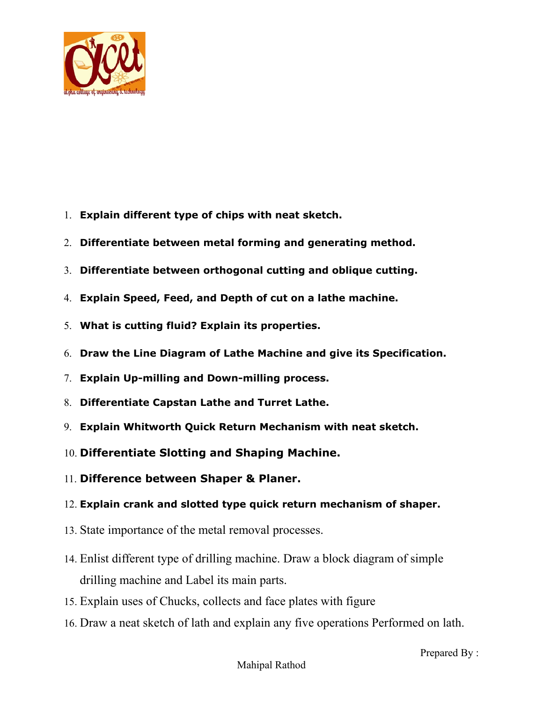

# **ALPHA COLLEGE OF ENGINEERING &**

#### **TECHNOLOGY**

**Managed by Alpha Educati n F undati n !** "#\$ Linc n P ly%e&#" (il\$) hat&a\*' Ta\$) al l' + i#t\$ Gandhinaga&

- 1. **Explain different type of chips with neat sketch.**
- 2. **Differentiate between metal forming and generating method.**
- 3. **Differentiate between orthogonal cutting and oblique cutting.**
- 4. **Explain Speed, Feed, and Depth of cut on a lathe machine.**
- 5. **What is cutting fluid? Explain its properties.**
- 6. **Draw the Line Diagram of Lathe Machine and give its Specification.**
- 7. **Explain Up-milling and Down-milling process.**
- 8. **Differentiate Capstan Lathe and Turret Lathe.**
- 9. **Explain Whitworth Quick Return Mechanism with neat sketch.**
- 10. **Differentiate Slotting and Shaping Machine.**
- 11. **Difference between Shaper & Planer.**

#### 12. **Explain crank and slotted type quick return mechanism of shaper.**

- 13. State importance of the metal removal processes.
- 14. Enlist different type of drilling machine. Draw a block diagram of simple drilling machine and Label its main parts.
- 15. Explain uses of Chucks, collects and face plates with figure
- 16. Draw a neat sketch of lath and explain any five operations Performed on lath.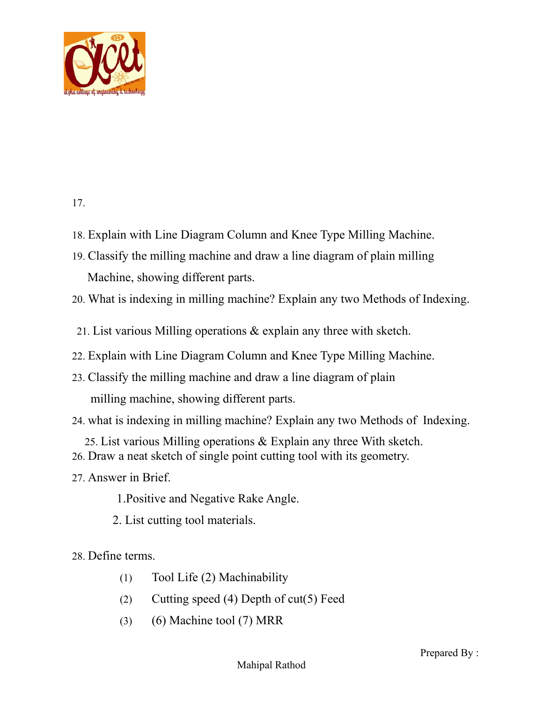

# **ALPHA COLLEGE OF ENGINEERING &**

## **TECHNOLOGY**

**Managed by Alpha Educati n F undati n** 

**Parager IIII. Probable Poly%e&#'** (il). hat&a\*' Ta. (i) all I' + i#t Gandhinaga&

- 17. Cla## $i, y$  Machine  $T \cup i + \& i$   $e \# s$
- 18. Explain with Line Diagram Column and Knee Type Milling Machine.
- 19. Classify the milling machine and draw a line diagram of plain milling Machine, showing different parts.
- 20. What is indexing in milling machine? Explain any two Methods of Indexing.
- 21. List various Milling operations & explain any three with sketch.
- 22. Explain with Line Diagram Column and Knee Type Milling Machine.
- 23. Classify the milling machine and draw a line diagram of plain milling machine, showing different parts.
- 24. what is indexing in milling machine? Explain any two Methods of Indexing.
- 25. List various Milling operations & Explain any three With sketch.
- 26. Draw a neat sketch of single point cutting tool with its geometry.
- 27. Answer in Brief.

1.Positive and Negative Rake Angle.

- 2. List cutting tool materials.
- 28. Define terms.
	- (1) Tool Life (2) Machinability
	- (2) Cutting speed (4) Depth of cut(5) Feed
	- (3) (6) Machine tool (7) MRR